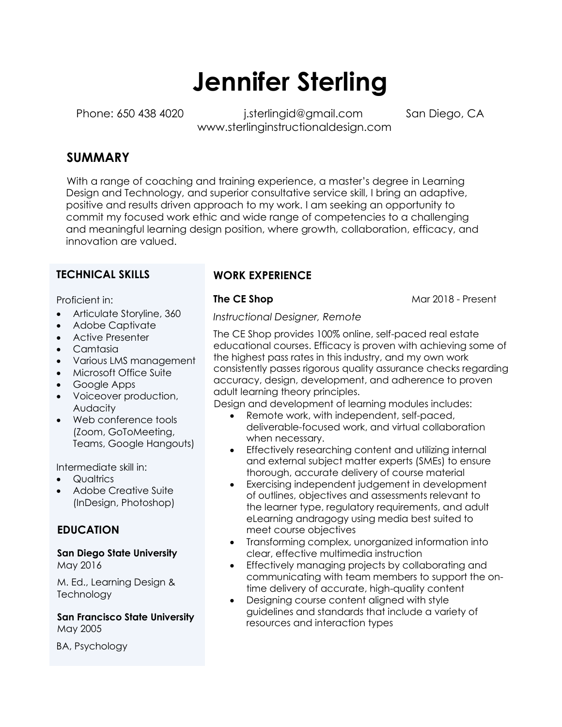# **Jennifer Sterling**

Phone: 650 438 4020 i.sterlingid@gmail.com San Diego, CA www.sterlinginstructionaldesign.com

# **SUMMARY**

With a range of coaching and training experience, a master's degree in Learning Design and Technology, and superior consultative service skill, I bring an adaptive, positive and results driven approach to my work. I am seeking an opportunity to commit my focused work ethic and wide range of competencies to a challenging and meaningful learning design position, where growth, collaboration, efficacy, and innovation are valued.

### **TECHNICAL SKILLS**

Proficient in:

- Articulate Storyline, 360
- Adobe Captivate
- Active Presenter
- Camtasia
- Various LMS management
- Microsoft Office Suite
- Google Apps
- Voiceover production, Audacity
- Web conference tools (Zoom, GoToMeeting, Teams, Google Hangouts)

Intermediate skill in:

- Qualtrics
- Adobe Creative Suite (InDesign, Photoshop)

## **EDUCATION**

**San Diego State University**  May 2016

M. Ed., Learning Design & **Technology** 

**San Francisco State University** May 2005

BA, Psychology

# **WORK EXPERIENCE**

**The CE Shop Mar 2018 - Present** 

*Instructional Designer, Remote* 

The CE Shop provides 100% online, self-paced real estate educational courses. Efficacy is proven with achieving some of the highest pass rates in this industry, and my own work consistently passes rigorous quality assurance checks regarding accuracy, design, development, and adherence to proven adult learning theory principles.

Design and development of learning modules includes:

- Remote work, with independent, self-paced, deliverable-focused work, and virtual collaboration when necessary.
- Effectively researching content and utilizing internal and external subject matter experts (SMEs) to ensure thorough, accurate delivery of course material
- Exercising independent judgement in development of outlines, objectives and assessments relevant to the learner type, regulatory requirements, and adult eLearning andragogy using media best suited to meet course objectives
- Transforming complex, unorganized information into clear, effective multimedia instruction
- Effectively managing projects by collaborating and communicating with team members to support the ontime delivery of accurate, high-quality content
- Designing course content aligned with style guidelines and standards that include a variety of resources and interaction types